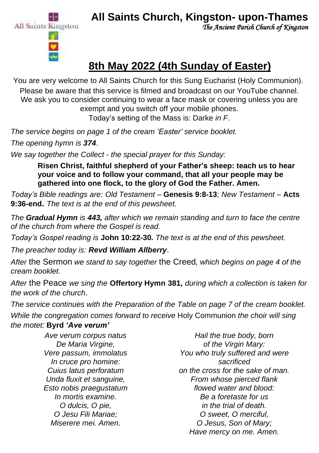**All Saints Church, Kingston- upon-Thames**



*The Ancient Parish Church of Kingston* 

# **8th May 2022 (4th Sunday of Easter)**

You are very welcome to All Saints Church for this Sung Eucharist (Holy Communion). Please be aware that this service is filmed and broadcast on our YouTube channel. We ask you to consider continuing to wear a face mask or covering unless you are exempt and you switch off your mobile phones. Today's setting of the Mass is: Darke *in F*.

*The service begins on page 1 of the cream 'Easter' service booklet.*

*The opening hymn is 374*.

*We say together the Collect - the special prayer for this Sunday:*

**Risen Christ, faithful shepherd of your Father's sheep: teach us to hear your voice and to follow your command, that all your people may be gathered into one flock, to the glory of God the Father. Amen.**

*Today's Bible readings are: Old Testament –* **Genesis 9:8-13**; *New Testament –* **Acts 9:36-end.** *The text is at the end of this pewsheet.*

*The Gradual Hymn is 443, after which we remain standing and turn to face the centre of the church from where the Gospel is read.* 

*Today's Gospel reading is* **John 10:22-30***. The text is at the end of this pewsheet.*

*The preacher today is: Revd William Allberry*.

*After* the Sermon *we stand to say together* the Creed*, which begins on page 4 of the cream booklet.*

*After* the Peace *we sing the* **Offertory Hymn 381,** *during which a collection is taken for the work of the church*.

*The service continues with the Preparation of the Table on page 7 of the cream booklet. While the congregation comes forward to receive* Holy Communion *the choir will sing the motet:* **Byrd** *'Ave verum'*

> *Ave verum corpus natus De Maria Virgine, Vere passum, immolatus In cruce pro homine: Cuius latus perforatum Unda fluxit et sanguine, Esto nobis praegustatum In mortis examine. O dulcis, O pie, O Jesu Fili Mariae; Miserere mei. Amen.*

*Hail the true body, born of the Virgin Mary: You who truly suffered and were sacrificed on the cross for the sake of man. From whose pierced flank flowed water and blood: Be a foretaste for us in the trial of death. O sweet, O merciful, O Jesus, Son of Mary; Have mercy on me. Amen.*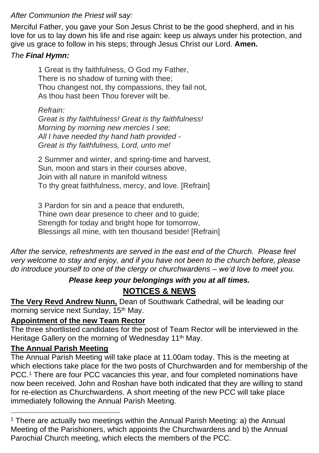#### *After Communion the Priest will say:*

Merciful Father, you gave your Son Jesus Christ to be the good shepherd, and in his love for us to lay down his life and rise again: keep us always under his protection, and give us grace to follow in his steps; through Jesus Christ our Lord. **Amen.**

## *The Final Hymn:*

1 Great is thy faithfulness, O God my Father, There is no shadow of turning with thee; Thou changest not, thy compassions, they fail not, As thou hast been Thou forever wilt be.

*Refrain: Great is thy faithfulness! Great is thy faithfulness! Morning by morning new mercies I see; All I have needed thy hand hath provided - Great is thy faithfulness, Lord, unto me!*

2 Summer and winter, and spring-time and harvest, Sun, moon and stars in their courses above, Join with all nature in manifold witness To thy great faithfulness, mercy, and love. [Refrain]

3 Pardon for sin and a peace that endureth, Thine own dear presence to cheer and to guide; Strength for today and bright hope for tomorrow, Blessings all mine, with ten thousand beside! [Refrain]

*After the service, refreshments are served in the east end of the Church. Please feel very welcome to stay and enjoy, and if you have not been to the church before, please do introduce yourself to one of the clergy or churchwardens – we'd love to meet you.*

## *Please keep your belongings with you at all times.* **NOTICES & NEWS**

**The Very Revd Andrew Nunn,** Dean of Southwark Cathedral, will be leading our morning service next Sunday, 15<sup>th</sup> May.

## **Appointment of the new Team Rector**

The three shortlisted candidates for the post of Team Rector will be interviewed in the Heritage Gallery on the morning of Wednesday 11<sup>th</sup> May.

## **The Annual Parish Meeting**

The Annual Parish Meeting will take place at 11.00am today. This is the meeting at which elections take place for the two posts of Churchwarden and for membership of the PCC.<sup>1</sup> There are four PCC vacancies this year, and four completed nominations have now been received. John and Roshan have both indicated that they are willing to stand for re-election as Churchwardens. A short meeting of the new PCC will take place immediately following the Annual Parish Meeting.

<sup>1</sup> There are actually two meetings within the Annual Parish Meeting: a) the Annual Meeting of the Parishioners, which appoints the Churchwardens and b) the Annual Parochial Church meeting, which elects the members of the PCC.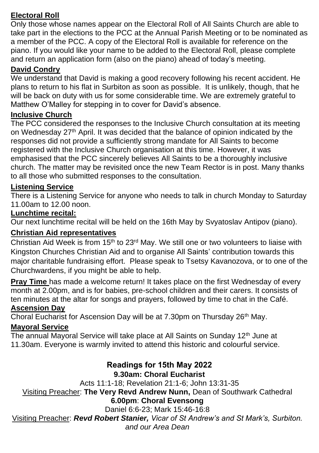## **Electoral Roll**

Only those whose names appear on the Electoral Roll of All Saints Church are able to take part in the elections to the PCC at the Annual Parish Meeting or to be nominated as a member of the PCC. A copy of the Electoral Roll is available for reference on the piano. If you would like your name to be added to the Electoral Roll, please complete and return an application form (also on the piano) ahead of today's meeting.

## **David Condry**

We understand that David is making a good recovery following his recent accident. He plans to return to his flat in Surbiton as soon as possible. It is unlikely, though, that he will be back on duty with us for some considerable time. We are extremely grateful to Matthew O'Malley for stepping in to cover for David's absence.

## **Inclusive Church**

The PCC considered the responses to the Inclusive Church consultation at its meeting on Wednesday 27<sup>th</sup> April. It was decided that the balance of opinion indicated by the responses did not provide a sufficiently strong mandate for All Saints to become registered with the Inclusive Church organisation at this time. However, it was emphasised that the PCC sincerely believes All Saints to be a thoroughly inclusive church. The matter may be revisited once the new Team Rector is in post. Many thanks to all those who submitted responses to the consultation.

#### **Listening Service**

There is a Listening Service for anyone who needs to talk in church Monday to Saturday 11.00am to 12.00 noon.

#### **Lunchtime recital:**

Our next lunchtime recital will be held on the 16th May by Svyatoslav Antipov (piano).

#### **Christian Aid representatives**

Christian Aid Week is from  $15<sup>th</sup>$  to  $23<sup>rd</sup>$  May. We still one or two volunteers to liaise with Kingston Churches Christian Aid and to organise All Saints' contribution towards this major charitable fundraising effort. Please speak to Tsetsy Kavanozova, or to one of the Churchwardens, if you might be able to help.

**Pray Time** has made a welcome return! It takes place on the first Wednesday of every month at 2.00pm, and is for babies, pre-school children and their carers. It consists of ten minutes at the altar for songs and prayers, followed by time to chat in the Café.

# **Ascension Day**

Choral Eucharist for Ascension Day will be at 7.30pm on Thursday 26<sup>th</sup> May.

#### **Mayoral Service**

The annual Mayoral Service will take place at All Saints on Sunday 12<sup>th</sup> June at 11.30am. Everyone is warmly invited to attend this historic and colourful service.

#### **Readings for 15th May 2022 9.30am: Choral Eucharist**

Acts 11:1-18; Revelation 21:1-6; John 13:31-35

Visiting Preacher: **The Very Revd Andrew Nunn,** Dean of Southwark Cathedral

#### **6.00pm**: **Choral Evensong**

Daniel 6:6-23; Mark 15:46-16:8

Visiting Preacher: *Revd Robert Stanier, Vicar of St Andrew's and St Mark's, Surbiton. and our Area Dean*